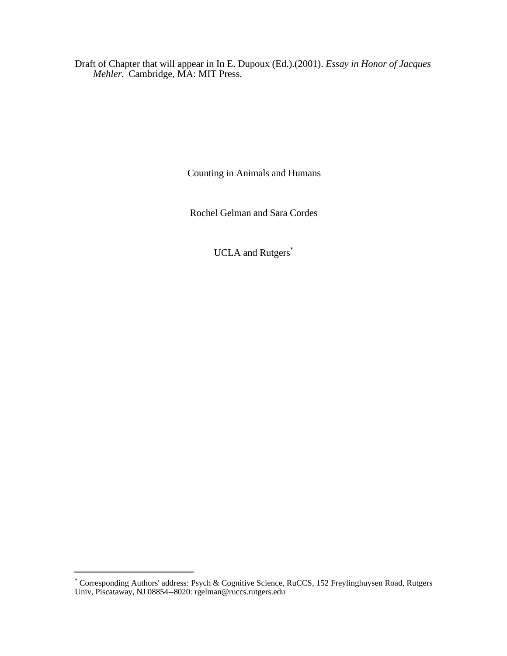Draft of Chapter that will appear in In E. Dupoux (Ed.).(2001). *Essay in Honor of Jacques Mehler.* Cambridge, MA: MIT Press.

Counting in Animals and Humans

Rochel Gelman and Sara Cordes

UCLA and Rutgers<sup>\*</sup>

 \* Corresponding Authors' address: Psych & Cognitive Science, RuCCS, 152 Freylinghuysen Road, Rutgers Univ, Piscataway, NJ 08854--8020: rgelman@ruccs.rutgers.edu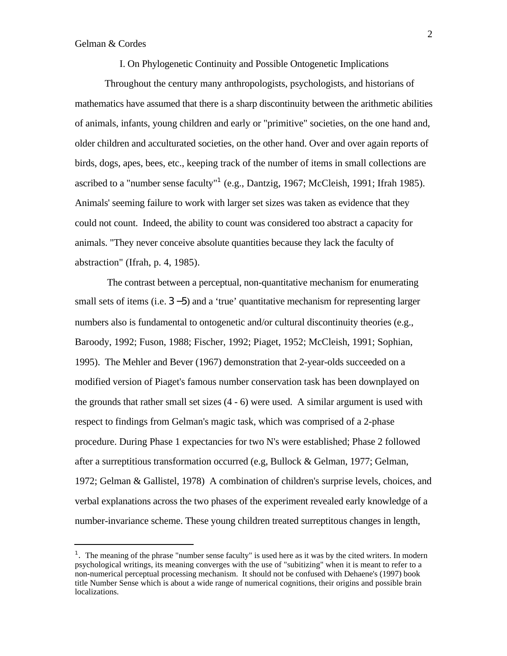-

I. On Phylogenetic Continuity and Possible Ontogenetic Implications

Throughout the century many anthropologists, psychologists, and historians of mathematics have assumed that there is a sharp discontinuity between the arithmetic abilities of animals, infants, young children and early or "primitive" societies, on the one hand and, older children and acculturated societies, on the other hand. Over and over again reports of birds, dogs, apes, bees, etc., keeping track of the number of items in small collections are ascribed to a "number sense faculty"<sup>1</sup> (e.g., Dantzig, 1967; McCleish, 1991; Ifrah 1985). Animals' seeming failure to work with larger set sizes was taken as evidence that they could not count. Indeed, the ability to count was considered too abstract a capacity for animals. "They never conceive absolute quantities because they lack the faculty of abstraction" (Ifrah, p. 4, 1985).

 The contrast between a perceptual, non-quantitative mechanism for enumerating small sets of items (i.e. 3 −5) and a 'true' quantitative mechanism for representing larger numbers also is fundamental to ontogenetic and/or cultural discontinuity theories (e.g., Baroody, 1992; Fuson, 1988; Fischer, 1992; Piaget, 1952; McCleish, 1991; Sophian, 1995). The Mehler and Bever (1967) demonstration that 2-year-olds succeeded on a modified version of Piaget's famous number conservation task has been downplayed on the grounds that rather small set sizes (4 - 6) were used. A similar argument is used with respect to findings from Gelman's magic task, which was comprised of a 2-phase procedure. During Phase 1 expectancies for two N's were established; Phase 2 followed after a surreptitious transformation occurred (e.g, Bullock & Gelman, 1977; Gelman, 1972; Gelman & Gallistel, 1978) A combination of children's surprise levels, choices, and verbal explanations across the two phases of the experiment revealed early knowledge of a number-invariance scheme. These young children treated surreptitous changes in length,

<sup>&</sup>lt;sup>1</sup>. The meaning of the phrase "number sense faculty" is used here as it was by the cited writers. In modern psychological writings, its meaning converges with the use of "subitizing" when it is meant to refer to a non-numerical perceptual processing mechanism. It should not be confused with Dehaene's (1997) book title Number Sense which is about a wide range of numerical cognitions, their origins and possible brain localizations.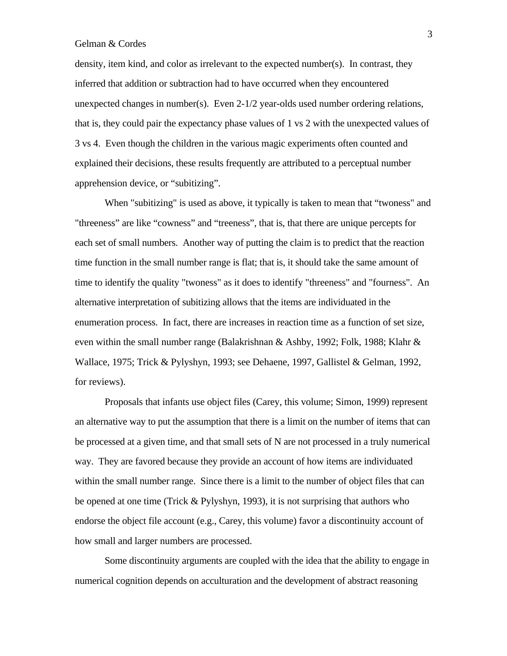density, item kind, and color as irrelevant to the expected number(s). In contrast, they inferred that addition or subtraction had to have occurred when they encountered unexpected changes in number(s). Even 2-1/2 year-olds used number ordering relations, that is, they could pair the expectancy phase values of 1 vs 2 with the unexpected values of 3 vs 4. Even though the children in the various magic experiments often counted and explained their decisions, these results frequently are attributed to a perceptual number apprehension device, or "subitizing".

When "subitizing" is used as above, it typically is taken to mean that "twoness" and "threeness" are like "cowness" and "treeness", that is, that there are unique percepts for each set of small numbers. Another way of putting the claim is to predict that the reaction time function in the small number range is flat; that is, it should take the same amount of time to identify the quality "twoness" as it does to identify "threeness" and "fourness". An alternative interpretation of subitizing allows that the items are individuated in the enumeration process. In fact, there are increases in reaction time as a function of set size, even within the small number range (Balakrishnan & Ashby, 1992; Folk, 1988; Klahr & Wallace, 1975; Trick & Pylyshyn, 1993; see Dehaene, 1997, Gallistel & Gelman, 1992, for reviews).

Proposals that infants use object files (Carey, this volume; Simon, 1999) represent an alternative way to put the assumption that there is a limit on the number of items that can be processed at a given time, and that small sets of N are not processed in a truly numerical way. They are favored because they provide an account of how items are individuated within the small number range. Since there is a limit to the number of object files that can be opened at one time (Trick & Pylyshyn, 1993), it is not surprising that authors who endorse the object file account (e.g., Carey, this volume) favor a discontinuity account of how small and larger numbers are processed.

Some discontinuity arguments are coupled with the idea that the ability to engage in numerical cognition depends on acculturation and the development of abstract reasoning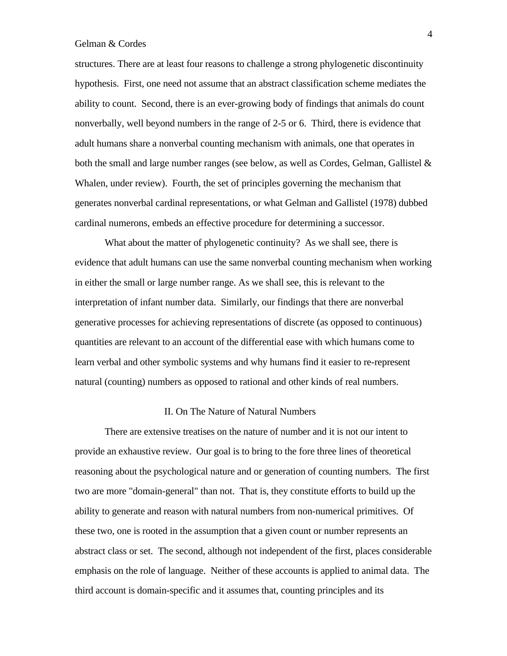structures. There are at least four reasons to challenge a strong phylogenetic discontinuity hypothesis. First, one need not assume that an abstract classification scheme mediates the ability to count. Second, there is an ever-growing body of findings that animals do count nonverbally, well beyond numbers in the range of 2-5 or 6. Third, there is evidence that adult humans share a nonverbal counting mechanism with animals, one that operates in both the small and large number ranges (see below, as well as Cordes, Gelman, Gallistel & Whalen, under review). Fourth, the set of principles governing the mechanism that generates nonverbal cardinal representations, or what Gelman and Gallistel (1978) dubbed cardinal numerons, embeds an effective procedure for determining a successor.

What about the matter of phylogenetic continuity? As we shall see, there is evidence that adult humans can use the same nonverbal counting mechanism when working in either the small or large number range. As we shall see, this is relevant to the interpretation of infant number data. Similarly, our findings that there are nonverbal generative processes for achieving representations of discrete (as opposed to continuous) quantities are relevant to an account of the differential ease with which humans come to learn verbal and other symbolic systems and why humans find it easier to re-represent natural (counting) numbers as opposed to rational and other kinds of real numbers.

### II. On The Nature of Natural Numbers

There are extensive treatises on the nature of number and it is not our intent to provide an exhaustive review. Our goal is to bring to the fore three lines of theoretical reasoning about the psychological nature and or generation of counting numbers. The first two are more "domain-general" than not. That is, they constitute efforts to build up the ability to generate and reason with natural numbers from non-numerical primitives. Of these two, one is rooted in the assumption that a given count or number represents an abstract class or set. The second, although not independent of the first, places considerable emphasis on the role of language. Neither of these accounts is applied to animal data. The third account is domain-specific and it assumes that, counting principles and its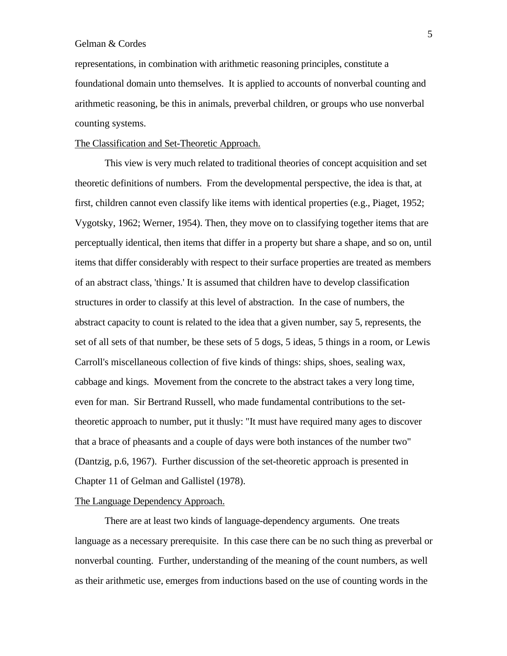representations, in combination with arithmetic reasoning principles, constitute a foundational domain unto themselves. It is applied to accounts of nonverbal counting and arithmetic reasoning, be this in animals, preverbal children, or groups who use nonverbal counting systems.

## The Classification and Set-Theoretic Approach.

This view is very much related to traditional theories of concept acquisition and set theoretic definitions of numbers. From the developmental perspective, the idea is that, at first, children cannot even classify like items with identical properties (e.g., Piaget, 1952; Vygotsky, 1962; Werner, 1954). Then, they move on to classifying together items that are perceptually identical, then items that differ in a property but share a shape, and so on, until items that differ considerably with respect to their surface properties are treated as members of an abstract class, 'things.' It is assumed that children have to develop classification structures in order to classify at this level of abstraction. In the case of numbers, the abstract capacity to count is related to the idea that a given number, say 5, represents, the set of all sets of that number, be these sets of 5 dogs, 5 ideas, 5 things in a room, or Lewis Carroll's miscellaneous collection of five kinds of things: ships, shoes, sealing wax, cabbage and kings. Movement from the concrete to the abstract takes a very long time, even for man. Sir Bertrand Russell, who made fundamental contributions to the settheoretic approach to number, put it thusly: "It must have required many ages to discover that a brace of pheasants and a couple of days were both instances of the number two" (Dantzig, p.6, 1967). Further discussion of the set-theoretic approach is presented in Chapter 11 of Gelman and Gallistel (1978).

## The Language Dependency Approach.

There are at least two kinds of language-dependency arguments. One treats language as a necessary prerequisite. In this case there can be no such thing as preverbal or nonverbal counting. Further, understanding of the meaning of the count numbers, as well as their arithmetic use, emerges from inductions based on the use of counting words in the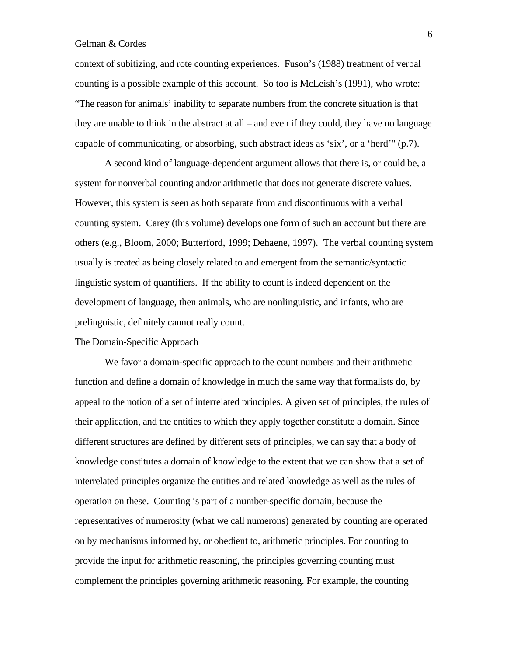context of subitizing, and rote counting experiences. Fuson's (1988) treatment of verbal counting is a possible example of this account. So too is McLeish's (1991), who wrote: "The reason for animals' inability to separate numbers from the concrete situation is that they are unable to think in the abstract at all – and even if they could, they have no language capable of communicating, or absorbing, such abstract ideas as 'six', or a 'herd'" (p.7).

A second kind of language-dependent argument allows that there is, or could be, a system for nonverbal counting and/or arithmetic that does not generate discrete values. However, this system is seen as both separate from and discontinuous with a verbal counting system. Carey (this volume) develops one form of such an account but there are others (e.g., Bloom, 2000; Butterford, 1999; Dehaene, 1997). The verbal counting system usually is treated as being closely related to and emergent from the semantic/syntactic linguistic system of quantifiers. If the ability to count is indeed dependent on the development of language, then animals, who are nonlinguistic, and infants, who are prelinguistic, definitely cannot really count.

## The Domain-Specific Approach

We favor a domain-specific approach to the count numbers and their arithmetic function and define a domain of knowledge in much the same way that formalists do, by appeal to the notion of a set of interrelated principles. A given set of principles, the rules of their application, and the entities to which they apply together constitute a domain. Since different structures are defined by different sets of principles, we can say that a body of knowledge constitutes a domain of knowledge to the extent that we can show that a set of interrelated principles organize the entities and related knowledge as well as the rules of operation on these. Counting is part of a number-specific domain, because the representatives of numerosity (what we call numerons) generated by counting are operated on by mechanisms informed by, or obedient to, arithmetic principles. For counting to provide the input for arithmetic reasoning, the principles governing counting must complement the principles governing arithmetic reasoning. For example, the counting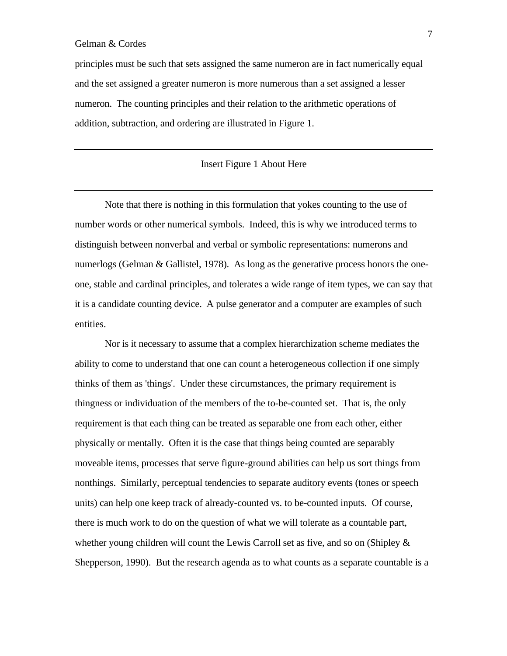principles must be such that sets assigned the same numeron are in fact numerically equal and the set assigned a greater numeron is more numerous than a set assigned a lesser numeron. The counting principles and their relation to the arithmetic operations of addition, subtraction, and ordering are illustrated in Figure 1.

## Insert Figure 1 About Here

Note that there is nothing in this formulation that yokes counting to the use of number words or other numerical symbols. Indeed, this is why we introduced terms to distinguish between nonverbal and verbal or symbolic representations: numerons and numerlogs (Gelman & Gallistel, 1978). As long as the generative process honors the oneone, stable and cardinal principles, and tolerates a wide range of item types, we can say that it is a candidate counting device. A pulse generator and a computer are examples of such entities.

Nor is it necessary to assume that a complex hierarchization scheme mediates the ability to come to understand that one can count a heterogeneous collection if one simply thinks of them as 'things'. Under these circumstances, the primary requirement is thingness or individuation of the members of the to-be-counted set. That is, the only requirement is that each thing can be treated as separable one from each other, either physically or mentally. Often it is the case that things being counted are separably moveable items, processes that serve figure-ground abilities can help us sort things from nonthings. Similarly, perceptual tendencies to separate auditory events (tones or speech units) can help one keep track of already-counted vs. to be-counted inputs. Of course, there is much work to do on the question of what we will tolerate as a countable part, whether young children will count the Lewis Carroll set as five, and so on (Shipley & Shepperson, 1990). But the research agenda as to what counts as a separate countable is a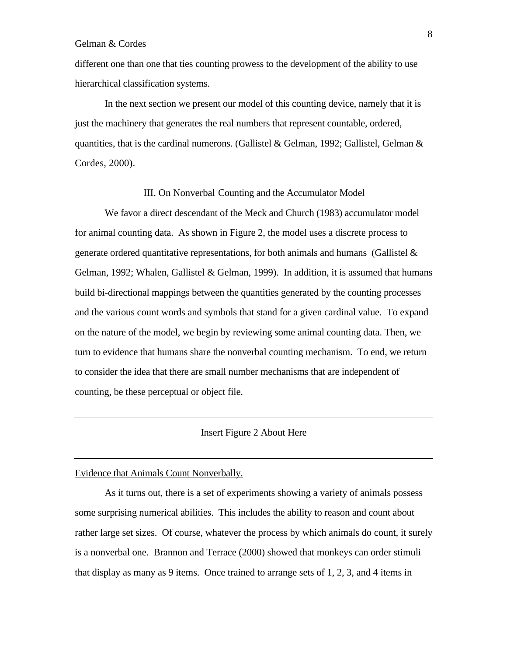different one than one that ties counting prowess to the development of the ability to use hierarchical classification systems.

In the next section we present our model of this counting device, namely that it is just the machinery that generates the real numbers that represent countable, ordered, quantities, that is the cardinal numerons. (Gallistel & Gelman, 1992; Gallistel, Gelman & Cordes, 2000).

### III. On Nonverbal Counting and the Accumulator Model

We favor a direct descendant of the Meck and Church (1983) accumulator model for animal counting data. As shown in Figure 2, the model uses a discrete process to generate ordered quantitative representations, for both animals and humans (Gallistel & Gelman, 1992; Whalen, Gallistel & Gelman, 1999). In addition, it is assumed that humans build bi-directional mappings between the quantities generated by the counting processes and the various count words and symbols that stand for a given cardinal value. To expand on the nature of the model, we begin by reviewing some animal counting data. Then, we turn to evidence that humans share the nonverbal counting mechanism. To end, we return to consider the idea that there are small number mechanisms that are independent of counting, be these perceptual or object file.

## Insert Figure 2 About Here

### Evidence that Animals Count Nonverbally.

As it turns out, there is a set of experiments showing a variety of animals possess some surprising numerical abilities. This includes the ability to reason and count about rather large set sizes. Of course, whatever the process by which animals do count, it surely is a nonverbal one. Brannon and Terrace (2000) showed that monkeys can order stimuli that display as many as 9 items. Once trained to arrange sets of 1, 2, 3, and 4 items in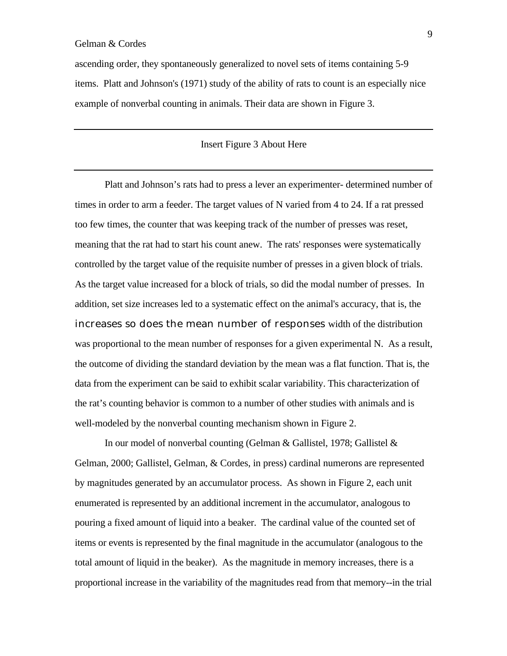ascending order, they spontaneously generalized to novel sets of items containing 5-9 items. Platt and Johnson's (1971) study of the ability of rats to count is an especially nice example of nonverbal counting in animals. Their data are shown in Figure 3.

## Insert Figure 3 About Here

Platt and Johnson's rats had to press a lever an experimenter- determined number of times in order to arm a feeder. The target values of N varied from 4 to 24. If a rat pressed too few times, the counter that was keeping track of the number of presses was reset, meaning that the rat had to start his count anew. The rats' responses were systematically controlled by the target value of the requisite number of presses in a given block of trials. As the target value increased for a block of trials, so did the modal number of presses. In addition, set size increases led to a systematic effect on the animal's accuracy, that is, the increases so does the mean number of responses width of the distribution was proportional to the mean number of responses for a given experimental N. As a result, the outcome of dividing the standard deviation by the mean was a flat function. That is, the data from the experiment can be said to exhibit scalar variability. This characterization of the rat's counting behavior is common to a number of other studies with animals and is well-modeled by the nonverbal counting mechanism shown in Figure 2.

In our model of nonverbal counting (Gelman & Gallistel, 1978; Gallistel & Gelman, 2000; Gallistel, Gelman, & Cordes, in press) cardinal numerons are represented by magnitudes generated by an accumulator process. As shown in Figure 2, each unit enumerated is represented by an additional increment in the accumulator, analogous to pouring a fixed amount of liquid into a beaker. The cardinal value of the counted set of items or events is represented by the final magnitude in the accumulator (analogous to the total amount of liquid in the beaker). As the magnitude in memory increases, there is a proportional increase in the variability of the magnitudes read from that memory--in the trial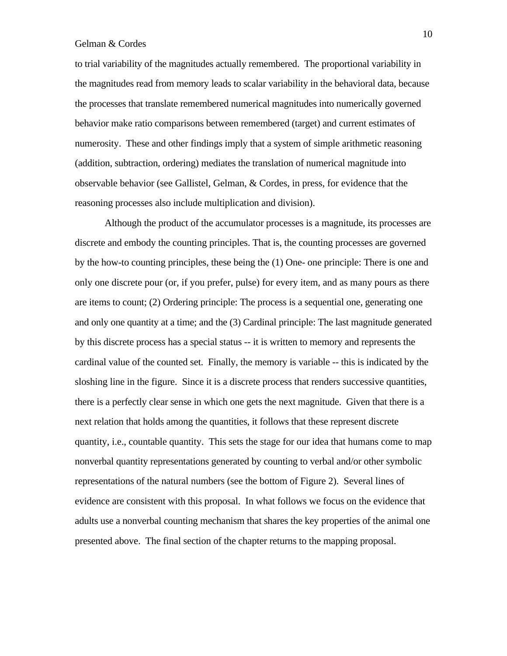to trial variability of the magnitudes actually remembered. The proportional variability in the magnitudes read from memory leads to scalar variability in the behavioral data, because the processes that translate remembered numerical magnitudes into numerically governed behavior make ratio comparisons between remembered (target) and current estimates of numerosity. These and other findings imply that a system of simple arithmetic reasoning (addition, subtraction, ordering) mediates the translation of numerical magnitude into observable behavior (see Gallistel, Gelman, & Cordes, in press, for evidence that the reasoning processes also include multiplication and division).

Although the product of the accumulator processes is a magnitude, its processes are discrete and embody the counting principles. That is, the counting processes are governed by the how-to counting principles, these being the (1) One- one principle: There is one and only one discrete pour (or, if you prefer, pulse) for every item, and as many pours as there are items to count; (2) Ordering principle: The process is a sequential one, generating one and only one quantity at a time; and the (3) Cardinal principle: The last magnitude generated by this discrete process has a special status -- it is written to memory and represents the cardinal value of the counted set. Finally, the memory is variable -- this is indicated by the sloshing line in the figure. Since it is a discrete process that renders successive quantities, there is a perfectly clear sense in which one gets the next magnitude. Given that there is a next relation that holds among the quantities, it follows that these represent discrete quantity, i.e., countable quantity. This sets the stage for our idea that humans come to map nonverbal quantity representations generated by counting to verbal and/or other symbolic representations of the natural numbers (see the bottom of Figure 2). Several lines of evidence are consistent with this proposal. In what follows we focus on the evidence that adults use a nonverbal counting mechanism that shares the key properties of the animal one presented above. The final section of the chapter returns to the mapping proposal.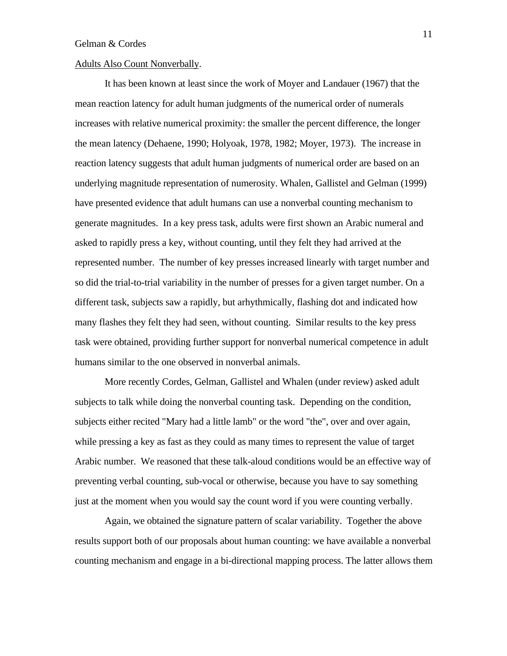## Adults Also Count Nonverbally.

It has been known at least since the work of Moyer and Landauer (1967) that the mean reaction latency for adult human judgments of the numerical order of numerals increases with relative numerical proximity: the smaller the percent difference, the longer the mean latency (Dehaene, 1990; Holyoak, 1978, 1982; Moyer, 1973). The increase in reaction latency suggests that adult human judgments of numerical order are based on an underlying magnitude representation of numerosity. Whalen, Gallistel and Gelman (1999) have presented evidence that adult humans can use a nonverbal counting mechanism to generate magnitudes. In a key press task, adults were first shown an Arabic numeral and asked to rapidly press a key, without counting, until they felt they had arrived at the represented number. The number of key presses increased linearly with target number and so did the trial-to-trial variability in the number of presses for a given target number. On a different task, subjects saw a rapidly, but arhythmically, flashing dot and indicated how many flashes they felt they had seen, without counting. Similar results to the key press task were obtained, providing further support for nonverbal numerical competence in adult humans similar to the one observed in nonverbal animals.

More recently Cordes, Gelman, Gallistel and Whalen (under review) asked adult subjects to talk while doing the nonverbal counting task. Depending on the condition, subjects either recited "Mary had a little lamb" or the word "the", over and over again, while pressing a key as fast as they could as many times to represent the value of target Arabic number. We reasoned that these talk-aloud conditions would be an effective way of preventing verbal counting, sub-vocal or otherwise, because you have to say something just at the moment when you would say the count word if you were counting verbally.

Again, we obtained the signature pattern of scalar variability. Together the above results support both of our proposals about human counting: we have available a nonverbal counting mechanism and engage in a bi-directional mapping process. The latter allows them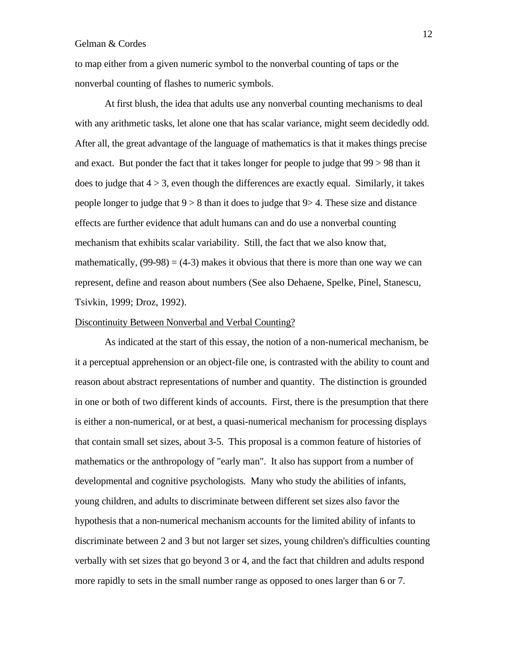to map either from a given numeric symbol to the nonverbal counting of taps or the nonverbal counting of flashes to numeric symbols.

At first blush, the idea that adults use any nonverbal counting mechanisms to deal with any arithmetic tasks, let alone one that has scalar variance, might seem decidedly odd. After all, the great advantage of the language of mathematics is that it makes things precise and exact. But ponder the fact that it takes longer for people to judge that 99 > 98 than it does to judge that  $4 > 3$ , even though the differences are exactly equal. Similarly, it takes people longer to judge that  $9 > 8$  than it does to judge that  $9 > 4$ . These size and distance effects are further evidence that adult humans can and do use a nonverbal counting mechanism that exhibits scalar variability. Still, the fact that we also know that, mathematically,  $(99-98) = (4-3)$  makes it obvious that there is more than one way we can represent, define and reason about numbers (See also Dehaene, Spelke, Pinel, Stanescu, Tsivkin, 1999; Droz, 1992).

### Discontinuity Between Nonverbal and Verbal Counting?

As indicated at the start of this essay, the notion of a non-numerical mechanism, be it a perceptual apprehension or an object-file one, is contrasted with the ability to count and reason about abstract representations of number and quantity. The distinction is grounded in one or both of two different kinds of accounts. First, there is the presumption that there is either a non-numerical, or at best, a quasi-numerical mechanism for processing displays that contain small set sizes, about 3-5. This proposal is a common feature of histories of mathematics or the anthropology of "early man". It also has support from a number of developmental and cognitive psychologists. Many who study the abilities of infants, young children, and adults to discriminate between different set sizes also favor the hypothesis that a non-numerical mechanism accounts for the limited ability of infants to discriminate between 2 and 3 but not larger set sizes, young children's difficulties counting verbally with set sizes that go beyond 3 or 4, and the fact that children and adults respond more rapidly to sets in the small number range as opposed to ones larger than 6 or 7.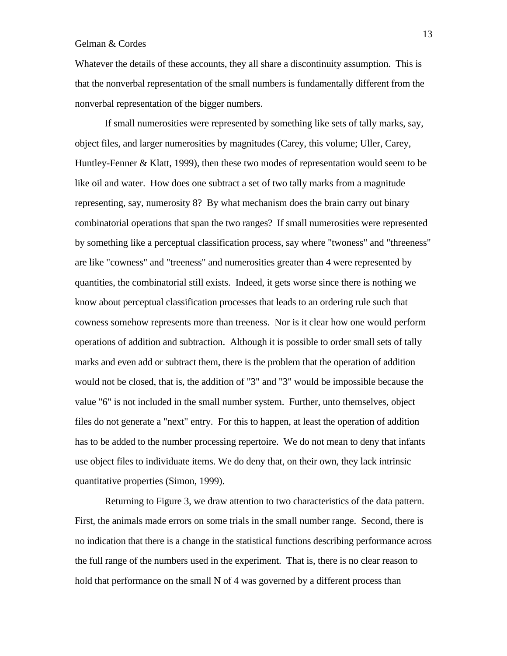Whatever the details of these accounts, they all share a discontinuity assumption. This is that the nonverbal representation of the small numbers is fundamentally different from the nonverbal representation of the bigger numbers.

If small numerosities were represented by something like sets of tally marks, say, object files, and larger numerosities by magnitudes (Carey, this volume; Uller, Carey, Huntley-Fenner & Klatt, 1999), then these two modes of representation would seem to be like oil and water. How does one subtract a set of two tally marks from a magnitude representing, say, numerosity 8? By what mechanism does the brain carry out binary combinatorial operations that span the two ranges? If small numerosities were represented by something like a perceptual classification process, say where "twoness" and "threeness" are like "cowness" and "treeness" and numerosities greater than 4 were represented by quantities, the combinatorial still exists. Indeed, it gets worse since there is nothing we know about perceptual classification processes that leads to an ordering rule such that cowness somehow represents more than treeness. Nor is it clear how one would perform operations of addition and subtraction. Although it is possible to order small sets of tally marks and even add or subtract them, there is the problem that the operation of addition would not be closed, that is, the addition of "3" and "3" would be impossible because the value "6" is not included in the small number system. Further, unto themselves, object files do not generate a "next" entry. For this to happen, at least the operation of addition has to be added to the number processing repertoire. We do not mean to deny that infants use object files to individuate items. We do deny that, on their own, they lack intrinsic quantitative properties (Simon, 1999).

Returning to Figure 3, we draw attention to two characteristics of the data pattern. First, the animals made errors on some trials in the small number range. Second, there is no indication that there is a change in the statistical functions describing performance across the full range of the numbers used in the experiment. That is, there is no clear reason to hold that performance on the small N of 4 was governed by a different process than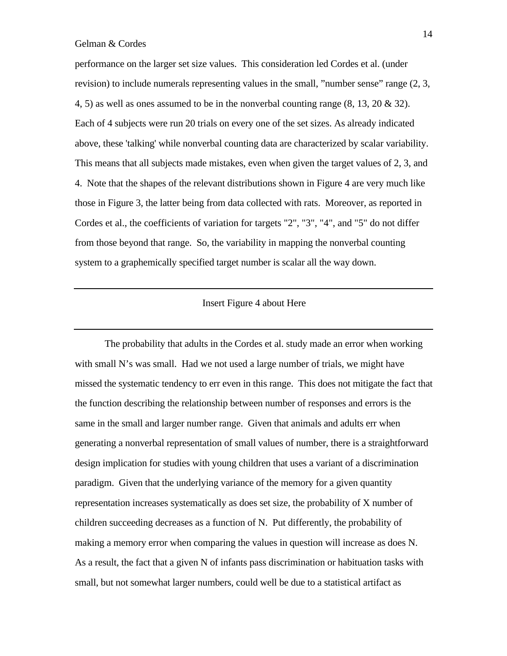performance on the larger set size values. This consideration led Cordes et al. (under revision) to include numerals representing values in the small, "number sense" range  $(2, 3, 3)$ 4, 5) as well as ones assumed to be in the nonverbal counting range (8, 13, 20 & 32). Each of 4 subjects were run 20 trials on every one of the set sizes. As already indicated above, these 'talking' while nonverbal counting data are characterized by scalar variability. This means that all subjects made mistakes, even when given the target values of 2, 3, and 4. Note that the shapes of the relevant distributions shown in Figure 4 are very much like those in Figure 3, the latter being from data collected with rats. Moreover, as reported in Cordes et al., the coefficients of variation for targets "2", "3", "4", and "5" do not differ from those beyond that range. So, the variability in mapping the nonverbal counting system to a graphemically specified target number is scalar all the way down.

## Insert Figure 4 about Here

The probability that adults in the Cordes et al. study made an error when working with small N's was small. Had we not used a large number of trials, we might have missed the systematic tendency to err even in this range. This does not mitigate the fact that the function describing the relationship between number of responses and errors is the same in the small and larger number range. Given that animals and adults err when generating a nonverbal representation of small values of number, there is a straightforward design implication for studies with young children that uses a variant of a discrimination paradigm. Given that the underlying variance of the memory for a given quantity representation increases systematically as does set size, the probability of X number of children succeeding decreases as a function of N. Put differently, the probability of making a memory error when comparing the values in question will increase as does N. As a result, the fact that a given N of infants pass discrimination or habituation tasks with small, but not somewhat larger numbers, could well be due to a statistical artifact as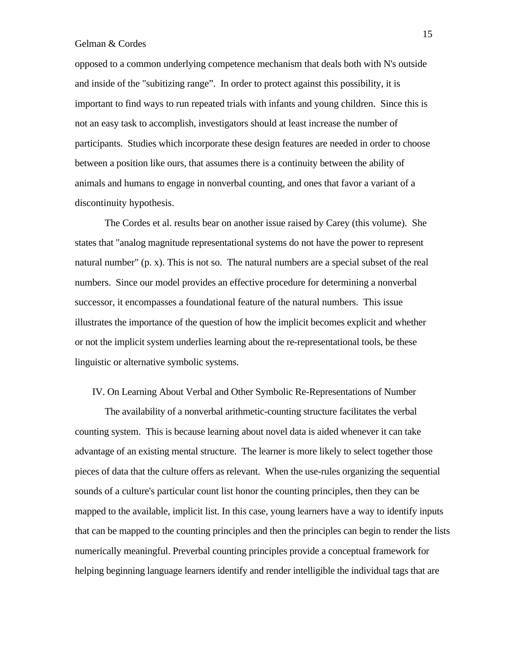opposed to a common underlying competence mechanism that deals both with N's outside and inside of the "subitizing range". In order to protect against this possibility, it is important to find ways to run repeated trials with infants and young children. Since this is not an easy task to accomplish, investigators should at least increase the number of participants. Studies which incorporate these design features are needed in order to choose between a position like ours, that assumes there is a continuity between the ability of animals and humans to engage in nonverbal counting, and ones that favor a variant of a discontinuity hypothesis.

The Cordes et al. results bear on another issue raised by Carey (this volume). She states that "analog magnitude representational systems do not have the power to represent natural number" (p. x). This is not so. The natural numbers are a special subset of the real numbers. Since our model provides an effective procedure for determining a nonverbal successor, it encompasses a foundational feature of the natural numbers. This issue illustrates the importance of the question of how the implicit becomes explicit and whether or not the implicit system underlies learning about the re-representational tools, be these linguistic or alternative symbolic systems.

## IV. On Learning About Verbal and Other Symbolic Re-Representations of Number

The availability of a nonverbal arithmetic-counting structure facilitates the verbal counting system. This is because learning about novel data is aided whenever it can take advantage of an existing mental structure. The learner is more likely to select together those pieces of data that the culture offers as relevant. When the use-rules organizing the sequential sounds of a culture's particular count list honor the counting principles, then they can be mapped to the available, implicit list. In this case, young learners have a way to identify inputs that can be mapped to the counting principles and then the principles can begin to render the lists numerically meaningful. Preverbal counting principles provide a conceptual framework for helping beginning language learners identify and render intelligible the individual tags that are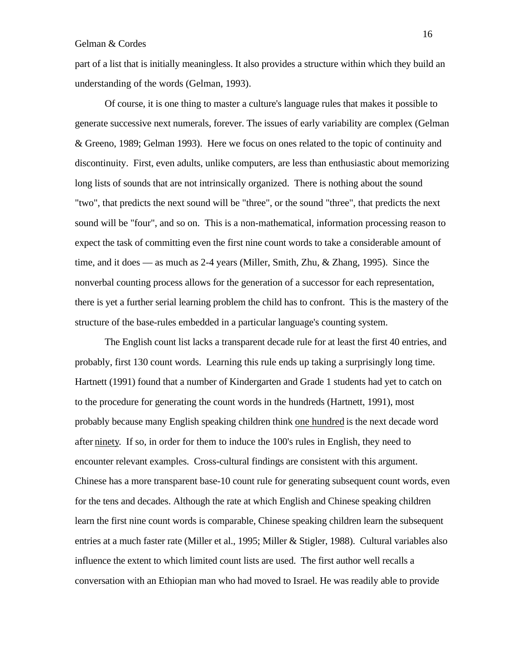part of a list that is initially meaningless. It also provides a structure within which they build an understanding of the words (Gelman, 1993).

Of course, it is one thing to master a culture's language rules that makes it possible to generate successive next numerals, forever. The issues of early variability are complex (Gelman & Greeno, 1989; Gelman 1993). Here we focus on ones related to the topic of continuity and discontinuity. First, even adults, unlike computers, are less than enthusiastic about memorizing long lists of sounds that are not intrinsically organized. There is nothing about the sound "two", that predicts the next sound will be "three", or the sound "three", that predicts the next sound will be "four", and so on. This is a non-mathematical, information processing reason to expect the task of committing even the first nine count words to take a considerable amount of time, and it does — as much as 2-4 years (Miller, Smith, Zhu, & Zhang, 1995). Since the nonverbal counting process allows for the generation of a successor for each representation, there is yet a further serial learning problem the child has to confront. This is the mastery of the structure of the base-rules embedded in a particular language's counting system.

The English count list lacks a transparent decade rule for at least the first 40 entries, and probably, first 130 count words. Learning this rule ends up taking a surprisingly long time. Hartnett (1991) found that a number of Kindergarten and Grade 1 students had yet to catch on to the procedure for generating the count words in the hundreds (Hartnett, 1991), most probably because many English speaking children think one hundred is the next decade word after ninety. If so, in order for them to induce the 100's rules in English, they need to encounter relevant examples. Cross-cultural findings are consistent with this argument. Chinese has a more transparent base-10 count rule for generating subsequent count words, even for the tens and decades. Although the rate at which English and Chinese speaking children learn the first nine count words is comparable, Chinese speaking children learn the subsequent entries at a much faster rate (Miller et al., 1995; Miller & Stigler, 1988). Cultural variables also influence the extent to which limited count lists are used. The first author well recalls a conversation with an Ethiopian man who had moved to Israel. He was readily able to provide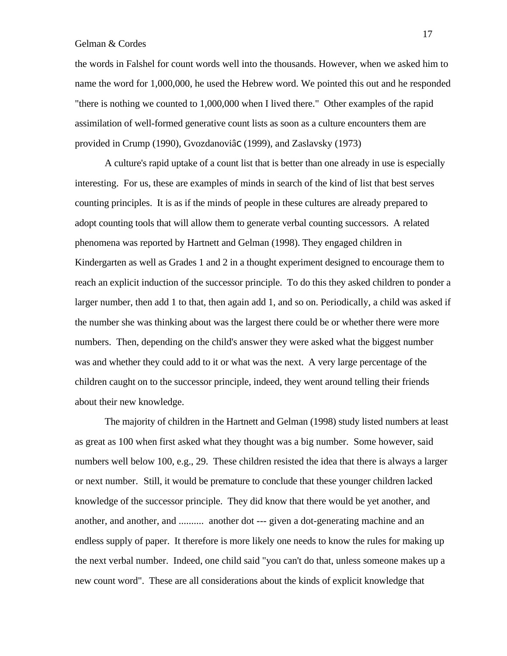the words in Falshel for count words well into the thousands. However, when we asked him to name the word for 1,000,000, he used the Hebrew word. We pointed this out and he responded "there is nothing we counted to 1,000,000 when I lived there." Other examples of the rapid assimilation of well-formed generative count lists as soon as a culture encounters them are provided in Crump (1990), Gvozdanoviâc (1999), and Zaslavsky (1973)

A culture's rapid uptake of a count list that is better than one already in use is especially interesting. For us, these are examples of minds in search of the kind of list that best serves counting principles. It is as if the minds of people in these cultures are already prepared to adopt counting tools that will allow them to generate verbal counting successors. A related phenomena was reported by Hartnett and Gelman (1998). They engaged children in Kindergarten as well as Grades 1 and 2 in a thought experiment designed to encourage them to reach an explicit induction of the successor principle. To do this they asked children to ponder a larger number, then add 1 to that, then again add 1, and so on. Periodically, a child was asked if the number she was thinking about was the largest there could be or whether there were more numbers. Then, depending on the child's answer they were asked what the biggest number was and whether they could add to it or what was the next. A very large percentage of the children caught on to the successor principle, indeed, they went around telling their friends about their new knowledge.

The majority of children in the Hartnett and Gelman (1998) study listed numbers at least as great as 100 when first asked what they thought was a big number. Some however, said numbers well below 100, e.g., 29. These children resisted the idea that there is always a larger or next number. Still, it would be premature to conclude that these younger children lacked knowledge of the successor principle. They did know that there would be yet another, and another, and another, and .......... another dot --- given a dot-generating machine and an endless supply of paper. It therefore is more likely one needs to know the rules for making up the next verbal number. Indeed, one child said "you can't do that, unless someone makes up a new count word". These are all considerations about the kinds of explicit knowledge that

17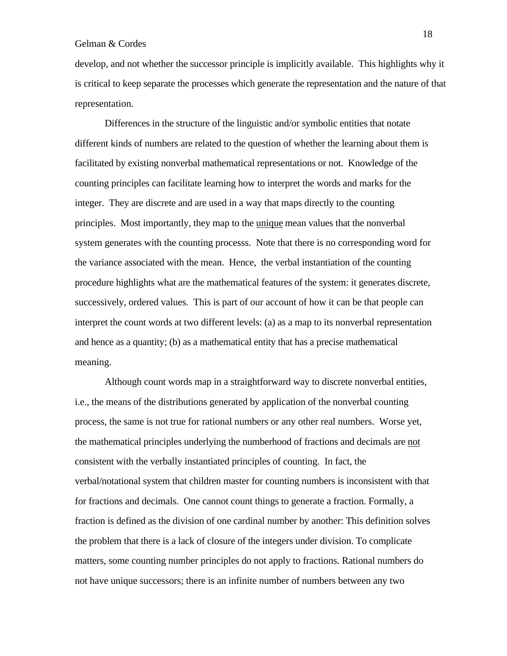develop, and not whether the successor principle is implicitly available. This highlights why it is critical to keep separate the processes which generate the representation and the nature of that representation.

Differences in the structure of the linguistic and/or symbolic entities that notate different kinds of numbers are related to the question of whether the learning about them is facilitated by existing nonverbal mathematical representations or not. Knowledge of the counting principles can facilitate learning how to interpret the words and marks for the integer. They are discrete and are used in a way that maps directly to the counting principles. Most importantly, they map to the unique mean values that the nonverbal system generates with the counting processs. Note that there is no corresponding word for the variance associated with the mean. Hence, the verbal instantiation of the counting procedure highlights what are the mathematical features of the system: it generates discrete, successively, ordered values. This is part of our account of how it can be that people can interpret the count words at two different levels: (a) as a map to its nonverbal representation and hence as a quantity; (b) as a mathematical entity that has a precise mathematical meaning.

Although count words map in a straightforward way to discrete nonverbal entities, i.e., the means of the distributions generated by application of the nonverbal counting process, the same is not true for rational numbers or any other real numbers. Worse yet, the mathematical principles underlying the numberhood of fractions and decimals are not consistent with the verbally instantiated principles of counting. In fact, the verbal/notational system that children master for counting numbers is inconsistent with that for fractions and decimals. One cannot count things to generate a fraction. Formally, a fraction is defined as the division of one cardinal number by another: This definition solves the problem that there is a lack of closure of the integers under division. To complicate matters, some counting number principles do not apply to fractions. Rational numbers do not have unique successors; there is an infinite number of numbers between any two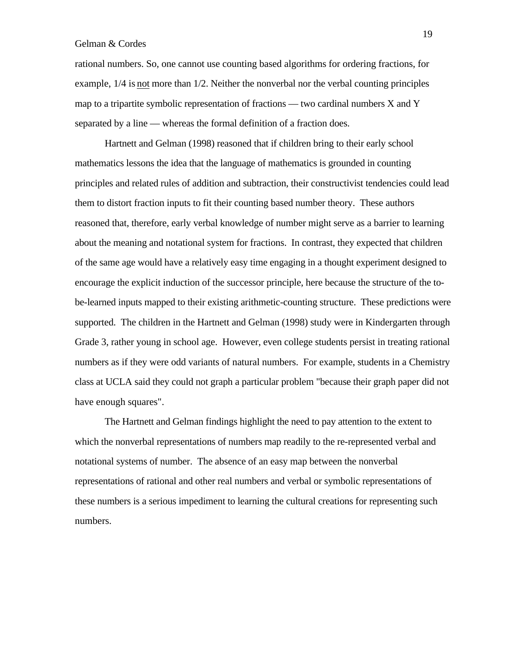rational numbers. So, one cannot use counting based algorithms for ordering fractions, for example, 1/4 is not more than 1/2. Neither the nonverbal nor the verbal counting principles map to a tripartite symbolic representation of fractions — two cardinal numbers X and Y separated by a line — whereas the formal definition of a fraction does.

Hartnett and Gelman (1998) reasoned that if children bring to their early school mathematics lessons the idea that the language of mathematics is grounded in counting principles and related rules of addition and subtraction, their constructivist tendencies could lead them to distort fraction inputs to fit their counting based number theory. These authors reasoned that, therefore, early verbal knowledge of number might serve as a barrier to learning about the meaning and notational system for fractions. In contrast, they expected that children of the same age would have a relatively easy time engaging in a thought experiment designed to encourage the explicit induction of the successor principle, here because the structure of the tobe-learned inputs mapped to their existing arithmetic-counting structure. These predictions were supported. The children in the Hartnett and Gelman (1998) study were in Kindergarten through Grade 3, rather young in school age. However, even college students persist in treating rational numbers as if they were odd variants of natural numbers. For example, students in a Chemistry class at UCLA said they could not graph a particular problem "because their graph paper did not have enough squares".

The Hartnett and Gelman findings highlight the need to pay attention to the extent to which the nonverbal representations of numbers map readily to the re-represented verbal and notational systems of number. The absence of an easy map between the nonverbal representations of rational and other real numbers and verbal or symbolic representations of these numbers is a serious impediment to learning the cultural creations for representing such numbers.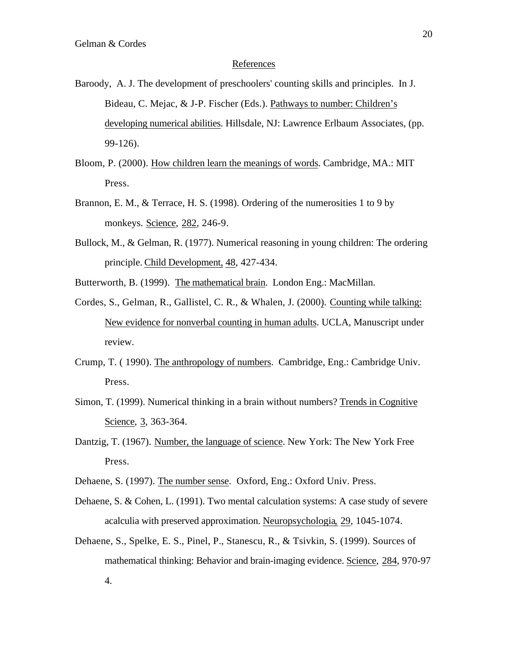### References

- Baroody, A. J. The development of preschoolers' counting skills and principles. In J. Bideau, C. Mejac, & J-P. Fischer (Eds.). Pathways to number: Children's developing numerical abilities. Hillsdale, NJ: Lawrence Erlbaum Associates, (pp. 99-126).
- Bloom, P. (2000). How children learn the meanings of words . Cambridge, MA.: MIT Press.
- Brannon, E. M., & Terrace, H. S. (1998). Ordering of the numerosities 1 to 9 by monkeys. Science, 282, 246-9.
- Bullock, M., & Gelman, R. (1977). Numerical reasoning in young children: The ordering principle. Child Development, 48 , 427-434.
- Butterworth, B. (1999). The mathematical brain. London Eng.: MacMillan.
- Cordes, S., Gelman, R., Gallistel, C. R., & Whalen, J. (2000) . Counting while talking: New evidence for nonverbal counting in human adults . UCLA, Manuscript under review.
- Crump, T. ( 1990). The anthropology of numbers . Cambridge, Eng.: Cambridge Univ. Press.
- Simon, T. (1999). Numerical thinking in a brain without numbers? Trends in Cognitive Science, 3, 363-364.
- Dantzig, T. (1967). Number, the language of science . New York: The New York Free Press.
- Dehaene, S. (1997). The number sense. Oxford, Eng.: Oxford Univ. Press.
- Dehaene, S. & Cohen, L. (1991). Two mental calculation systems: A case study of severe acalculia with preserved approximation. Neuropsychologia, 29, 1045-1074.
- Dehaene, S., Spelke, E. S., Pinel, P., Stanescu, R., & Tsivkin, S. (1999). Sources of mathematical thinking: Behavior and brain-imaging evidence. Science, 284, 970-97 4.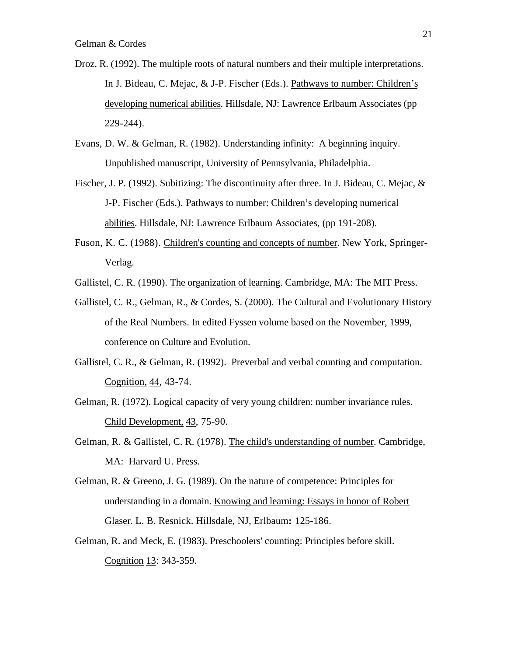- Droz, R. (1992). The multiple roots of natural numbers and their multiple interpretations. In J. Bideau, C. Mejac, & J-P. Fischer (Eds.). Pathways to number: Children's developing numerical abilities. Hillsdale, NJ: Lawrence Erlbaum Associates (pp) 229-244).
- Evans, D. W. & Gelman, R. (1982). Understanding infinity: A beginning inquiry . Unpublished manuscript, University of Pennsylvania, Philadelphia.
- Fischer, J. P. (1992). Subitizing: The discontinuity after three. In J. Bideau, C. Mejac, & J-P. Fischer (Eds.). Pathways to number: Children's developing numerical abilities . Hillsdale, NJ: Lawrence Erlbaum Associates, (pp 191-208).
- Fuson, K. C. (1988). Children's counting and concepts of number . New York, Springer-Verlag.
- Gallistel, C. R. (1990). The organization of learning. Cambridge, MA: The MIT Press.
- Gallistel, C. R., Gelman, R., & Cordes, S. (2000). The Cultural and Evolutionary History of the Real Numbers. In edited Fyssen volume based on the November, 1999, conference on Culture and Evolution.
- Gallistel, C. R., & Gelman, R. (1992). Preverbal and verbal counting and computation. Cognition, 44, 43-74.
- Gelman, R. (1972). Logical capacity of very young children: number invariance rules. Child Development, 43, 75-90.
- Gelman, R. & Gallistel, C. R. (1978). The child's understanding of number . Cambridge, MA: Harvard U. Press.
- Gelman, R. & Greeno, J. G. (1989). On the nature of competence: Principles for understanding in a domain. Knowing and learning: Essays in honor of Robert Glaser . L. B. Resnick. Hillsdale, NJ, Erlbaum**:** 125 -186.
- Gelman, R. and Meck, E. (1983). Preschoolers' counting: Principles before skill. Cognition 13: 343-359.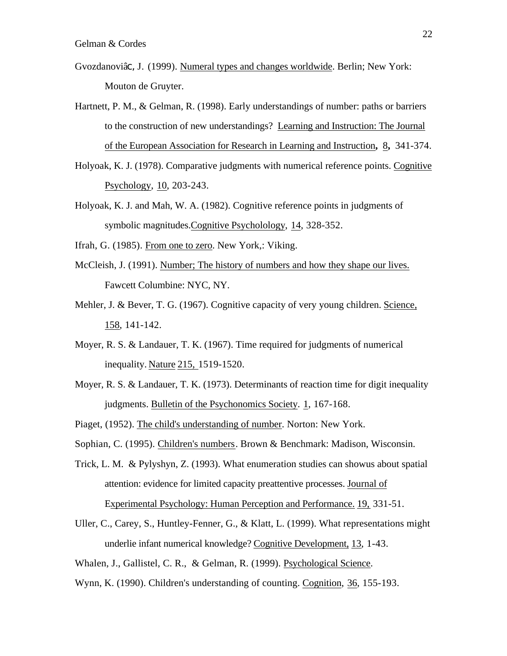- Gvozdanoviâc, J. (1999). Numeral types and changes worldwide . Berlin; New York: Mouton de Gruyter.
- Hartnett, P. M., & Gelman, R. (1998). Early understandings of number: paths or barriers to the construction of new understandings? Learning and Instruction: The Journal of the European Association for Research in Learning and Instruction **,** 8 **,** 341-374.
- Holyoak, K. J. (1978). Comparative judgments with numerical reference points. Cognitive Psychology, 10, 203-243.
- Holyoak, K. J. and Mah, W. A. (1982). Cognitive reference points in judgments of symbolic magnitudes. Cognitive Psycholology, 14, 328-352.
- Ifrah, G. (1985). From one to zero. New York,: Viking.
- McCleish, J. (1991). Number; The history of numbers and how they shape our lives. Fawcett Columbine: NYC, NY.
- Mehler, J. & Bever, T. G. (1967). Cognitive capacity of very young children. Science, 158 , 141-142.
- Moyer, R. S. & Landauer, T. K. (1967). Time required for judgments of numerical inequality. Nature 215, 1519-1520.
- Moyer, R. S. & Landauer, T. K. (1973). Determinants of reaction time for digit inequality judgments. Bulletin of the Psychonomics Society. 1, 167-168.
- Piaget, (1952). The child's understanding of number. Norton: New York.
- Sophian, C. (1995). Children's numbers . Brown & Benchmark: Madison, Wisconsin.
- Trick, L. M. & Pylyshyn, Z. (1993). What enumeration studies can showus about spatial attention: evidence for limited capacity preattentive processes. Journal of Experimental Psychology: Human Perception and Performance. 19, 331-51.
- Uller, C., Carey, S., Huntley-Fenner, G., & Klatt, L. (1999). What representations might underlie infant numerical knowledge? Cognitive Development, 13 , 1-43.
- Whalen, J., Gallistel, C. R., & Gelman, R. (1999). Psychological Science.
- Wynn, K. (1990). Children's understanding of counting. Cognition, 36, 155-193.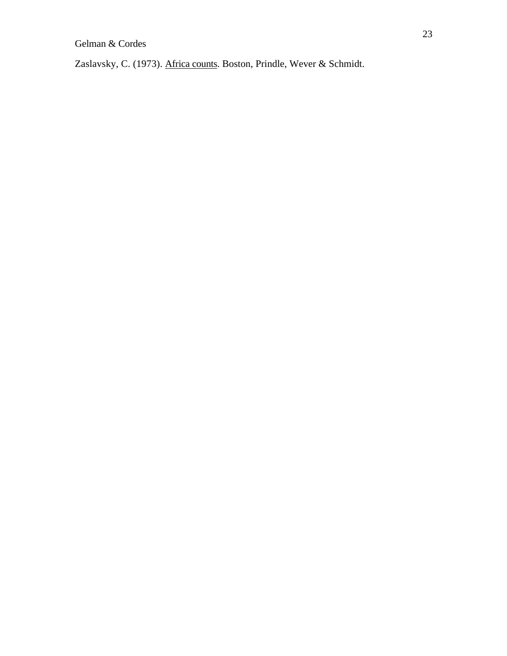Zaslavsky, C. (1973). Africa counts. Boston, Prindle, Wever & Schmidt.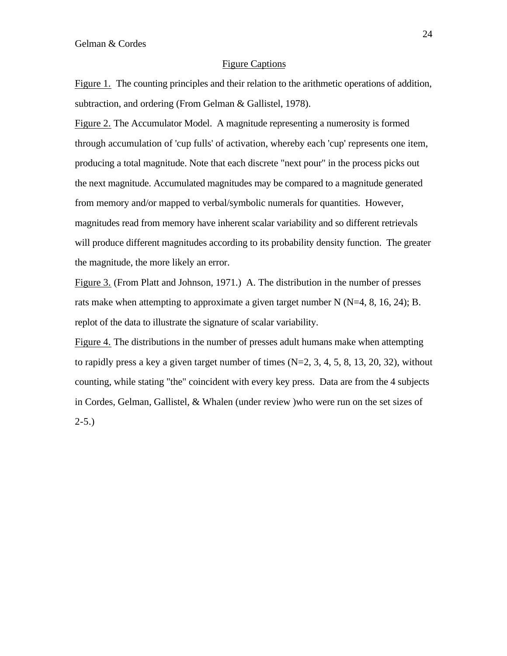## Figure Captions

Figure 1. The counting principles and their relation to the arithmetic operations of addition, subtraction, and ordering (From Gelman & Gallistel, 1978).

Figure 2. The Accumulator Model. A magnitude representing a numerosity is formed through accumulation of 'cup fulls' of activation, whereby each 'cup' represents one item, producing a total magnitude. Note that each discrete "next pour" in the process picks out the next magnitude. Accumulated magnitudes may be compared to a magnitude generated from memory and/or mapped to verbal/symbolic numerals for quantities. However, magnitudes read from memory have inherent scalar variability and so different retrievals will produce different magnitudes according to its probability density function. The greater the magnitude, the more likely an error.

Figure 3. (From Platt and Johnson, 1971.) A. The distribution in the number of presses rats make when attempting to approximate a given target number N (N=4, 8, 16, 24); B. replot of the data to illustrate the signature of scalar variability.

Figure 4. The distributions in the number of presses adult humans make when attempting to rapidly press a key a given target number of times  $(N=2, 3, 4, 5, 8, 13, 20, 32)$ , without counting, while stating "the" coincident with every key press. Data are from the 4 subjects in Cordes, Gelman, Gallistel, & Whalen (under review )who were run on the set sizes of  $2-5.$ )